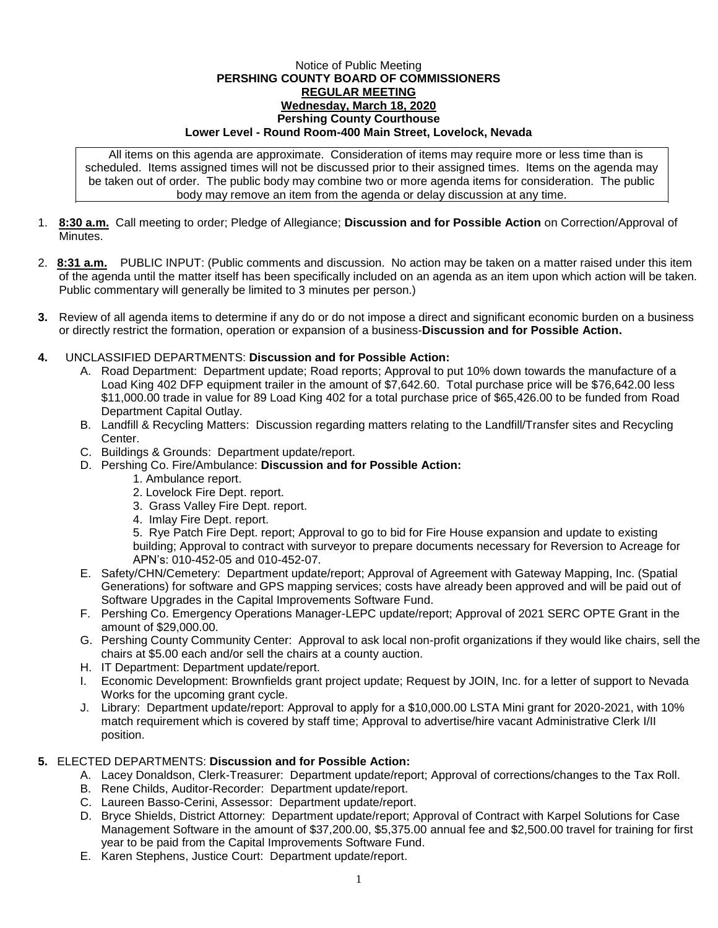## Notice of Public Meeting **PERSHING COUNTY BOARD OF COMMISSIONERS REGULAR MEETING Wednesday, March 18, 2020 Pershing County Courthouse Lower Level - Round Room-400 Main Street, Lovelock, Nevada**

All items on this agenda are approximate. Consideration of items may require more or less time than is scheduled. Items assigned times will not be discussed prior to their assigned times. Items on the agenda may be taken out of order. The public body may combine two or more agenda items for consideration. The public body may remove an item from the agenda or delay discussion at any time.

- 1. **8:30 a.m.** Call meeting to order; Pledge of Allegiance; **Discussion and for Possible Action** on Correction/Approval of **Minutes**
- 2. **8:31 a.m.** PUBLIC INPUT: (Public comments and discussion. No action may be taken on a matter raised under this item of the agenda until the matter itself has been specifically included on an agenda as an item upon which action will be taken. Public commentary will generally be limited to 3 minutes per person.)
- **3.** Review of all agenda items to determine if any do or do not impose a direct and significant economic burden on a business or directly restrict the formation, operation or expansion of a business-**Discussion and for Possible Action.**
- **4.** UNCLASSIFIED DEPARTMENTS: **Discussion and for Possible Action:**
	- A. Road Department: Department update; Road reports; Approval to put 10% down towards the manufacture of a Load King 402 DFP equipment trailer in the amount of \$7,642.60. Total purchase price will be \$76,642.00 less \$11,000.00 trade in value for 89 Load King 402 for a total purchase price of \$65,426.00 to be funded from Road Department Capital Outlay.
	- B. Landfill & Recycling Matters: Discussion regarding matters relating to the Landfill/Transfer sites and Recycling Center.
	- C. Buildings & Grounds: Department update/report.
	- D. Pershing Co. Fire/Ambulance: **Discussion and for Possible Action:**
		- 1. Ambulance report.
		- 2. Lovelock Fire Dept. report.
		- 3. Grass Valley Fire Dept. report.
		- 4. Imlay Fire Dept. report.

5. Rye Patch Fire Dept. report; Approval to go to bid for Fire House expansion and update to existing building; Approval to contract with surveyor to prepare documents necessary for Reversion to Acreage for APN's: 010-452-05 and 010-452-07.

- E. Safety/CHN/Cemetery: Department update/report; Approval of Agreement with Gateway Mapping, Inc. (Spatial Generations) for software and GPS mapping services; costs have already been approved and will be paid out of Software Upgrades in the Capital Improvements Software Fund.
- F. Pershing Co. Emergency Operations Manager-LEPC update/report; Approval of 2021 SERC OPTE Grant in the amount of \$29,000.00.
- G. Pershing County Community Center: Approval to ask local non-profit organizations if they would like chairs, sell the chairs at \$5.00 each and/or sell the chairs at a county auction.
- H. IT Department: Department update/report.
- I. Economic Development: Brownfields grant project update; Request by JOIN, Inc. for a letter of support to Nevada Works for the upcoming grant cycle.
- J. Library: Department update/report: Approval to apply for a \$10,000.00 LSTA Mini grant for 2020-2021, with 10% match requirement which is covered by staff time; Approval to advertise/hire vacant Administrative Clerk I/II position.

## **5.** ELECTED DEPARTMENTS: **Discussion and for Possible Action:**

- A. Lacey Donaldson, Clerk-Treasurer: Department update/report; Approval of corrections/changes to the Tax Roll.
- B. Rene Childs, Auditor-Recorder: Department update/report.
- C. Laureen Basso-Cerini, Assessor: Department update/report.
- D. Bryce Shields, District Attorney: Department update/report; Approval of Contract with Karpel Solutions for Case Management Software in the amount of \$37,200.00, \$5,375.00 annual fee and \$2,500.00 travel for training for first year to be paid from the Capital Improvements Software Fund.
- E. Karen Stephens, Justice Court: Department update/report.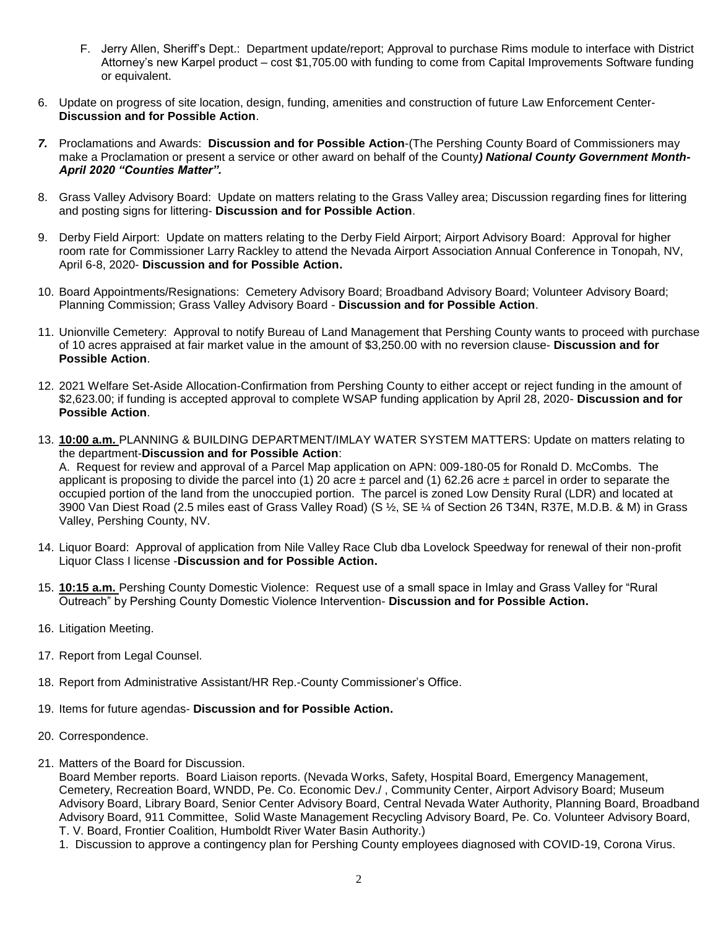- F. Jerry Allen, Sheriff's Dept.: Department update/report; Approval to purchase Rims module to interface with District Attorney's new Karpel product – cost \$1,705.00 with funding to come from Capital Improvements Software funding or equivalent.
- 6. Update on progress of site location, design, funding, amenities and construction of future Law Enforcement Center-**Discussion and for Possible Action**.
- *7.* Proclamations and Awards: **Discussion and for Possible Action**-(The Pershing County Board of Commissioners may make a Proclamation or present a service or other award on behalf of the County*) National County Government Month-April 2020 "Counties Matter".*
- 8. Grass Valley Advisory Board: Update on matters relating to the Grass Valley area; Discussion regarding fines for littering and posting signs for littering- **Discussion and for Possible Action**.
- 9. Derby Field Airport: Update on matters relating to the Derby Field Airport; Airport Advisory Board: Approval for higher room rate for Commissioner Larry Rackley to attend the Nevada Airport Association Annual Conference in Tonopah, NV, April 6-8, 2020- **Discussion and for Possible Action.**
- 10. Board Appointments/Resignations: Cemetery Advisory Board; Broadband Advisory Board; Volunteer Advisory Board; Planning Commission; Grass Valley Advisory Board - **Discussion and for Possible Action**.
- 11. Unionville Cemetery: Approval to notify Bureau of Land Management that Pershing County wants to proceed with purchase of 10 acres appraised at fair market value in the amount of \$3,250.00 with no reversion clause- **Discussion and for Possible Action**.
- 12. 2021 Welfare Set-Aside Allocation-Confirmation from Pershing County to either accept or reject funding in the amount of \$2,623.00; if funding is accepted approval to complete WSAP funding application by April 28, 2020- **Discussion and for Possible Action**.
- 13. **10:00 a.m.** PLANNING & BUILDING DEPARTMENT/IMLAY WATER SYSTEM MATTERS: Update on matters relating to the department-**Discussion and for Possible Action**:

A. Request for review and approval of a Parcel Map application on APN: 009-180-05 for Ronald D. McCombs. The applicant is proposing to divide the parcel into (1) 20 acre  $\pm$  parcel and (1) 62.26 acre  $\pm$  parcel in order to separate the occupied portion of the land from the unoccupied portion. The parcel is zoned Low Density Rural (LDR) and located at 3900 Van Diest Road (2.5 miles east of Grass Valley Road) (S ½, SE ¼ of Section 26 T34N, R37E, M.D.B. & M) in Grass Valley, Pershing County, NV.

- 14. Liquor Board: Approval of application from Nile Valley Race Club dba Lovelock Speedway for renewal of their non-profit Liquor Class I license -**Discussion and for Possible Action.**
- 15. **10:15 a.m.** Pershing County Domestic Violence: Request use of a small space in Imlay and Grass Valley for "Rural Outreach" by Pershing County Domestic Violence Intervention- **Discussion and for Possible Action.**
- 16. Litigation Meeting.
- 17. Report from Legal Counsel.
- 18. Report from Administrative Assistant/HR Rep.-County Commissioner's Office.
- 19. Items for future agendas- **Discussion and for Possible Action.**
- 20. Correspondence.
- 21. Matters of the Board for Discussion.

Board Member reports. Board Liaison reports. (Nevada Works, Safety, Hospital Board, Emergency Management, Cemetery, Recreation Board, WNDD, Pe. Co. Economic Dev./ , Community Center, Airport Advisory Board; Museum Advisory Board, Library Board, Senior Center Advisory Board, Central Nevada Water Authority, Planning Board, Broadband Advisory Board, 911 Committee, Solid Waste Management Recycling Advisory Board, Pe. Co. Volunteer Advisory Board, T. V. Board, Frontier Coalition, Humboldt River Water Basin Authority.)

1. Discussion to approve a contingency plan for Pershing County employees diagnosed with COVID-19, Corona Virus.